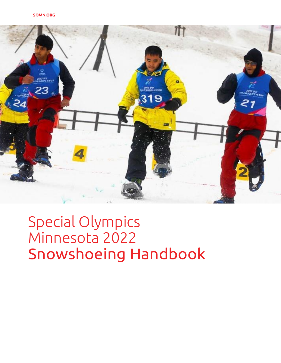

# Special Olympics Minnesota 2022 Snowshoeing Handbook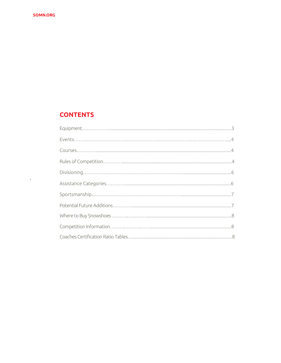$\mathcal{A}^{\text{max}}$ 

## **CONTENTS**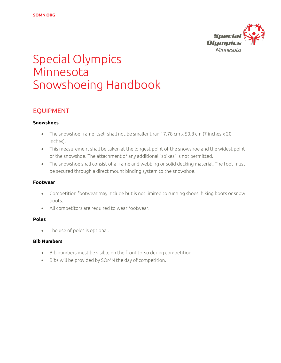

## Special Olympics Minnesota Snowshoeing Handbook

## EQUIPMENT

#### **Snowshoes**

- The snowshoe frame itself shall not be smaller than 17.78 cm x 50.8 cm (7 inches x 20 inches).
- This measurement shall be taken at the longest point of the snowshoe and the widest point of the snowshoe. The attachment of any additional "spikes" is not permitted.
- The snowshoe shall consist of a frame and webbing or solid decking material. The foot must be secured through a direct mount binding system to the snowshoe.

#### **Footwear**

- Competition footwear may include but is not limited to running shoes, hiking boots or snow boots.
- All competitors are required to wear footwear.

#### **Poles**

• The use of poles is optional.

#### **Bib Numbers**

- Bib numbers must be visible on the front torso during competition.
- Bibs will be provided by SOMN the day of competition.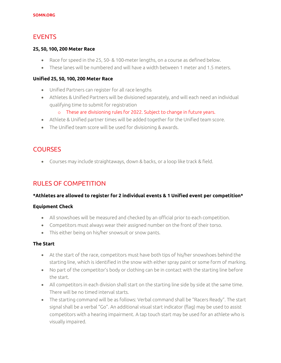## EVENTS

#### **25, 50, 100, 200 Meter Race**

- Race for speed in the 25, 50- & 100-meter lengths, on a course as defined below.
- These lanes will be numbered and will have a width between 1 meter and 1.5 meters.

#### **Unified 25, 50, 100, 200 Meter Race**

- Unified Partners can register for all race lengths
- Athletes & Unified Partners will be divisioned separately, and will each need an individual qualifying time to submit for registration
	- o These are divisioning rules for 2022. Subject to change in future years.
- Athlete & Unified partner times will be added together for the Unified team score.
- The Unified team score will be used for divisioning & awards.

## **COURSES**

• Courses may include straightaways, down & backs, or a loop like track & field.

## RULES OF COMPETITION

#### **\*Athletes are allowed to register for 2 individual events & 1 Unified event per competition\***

#### **Equipment Check**

- All snowshoes will be measured and checked by an official prior to each competition.
- Competitors must always wear their assigned number on the front of their torso.
- This either being on his/her snowsuit or snow pants.

#### **The Start**

- At the start of the race, competitors must have both tips of his/her snowshoes behind the starting line, which is identified in the snow with either spray paint or some form of marking.
- No part of the competitor's body or clothing can be in contact with the starting line before the start.
- All competitors in each division shall start on the starting line side by side at the same time. There will be no timed interval starts.
- The starting command will be as follows: Verbal command shall be "Racers Ready". The start signal shall be a verbal "Go". An additional visual start indicator (flag) may be used to assist competitors with a hearing impairment. A tap touch start may be used for an athlete who is visually impaired.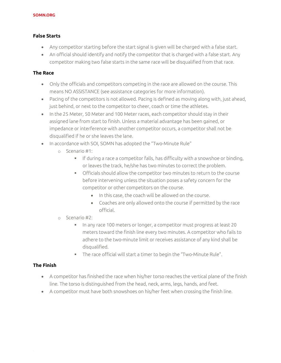#### **False Starts**

- Any competitor starting before the start signal is given will be charged with a false start.
- An official should identify and notify the competitor that is charged with a false start. Any competitor making two false starts in the same race will be disqualified from that race.

#### **The Race**

- Only the officials and competitors competing in the race are allowed on the course. This means NO ASSISTANCE (see assistance categories for more information).
- Pacing of the competitors is not allowed. Pacing is defined as moving along with, just ahead, just behind, or next to the competitor to cheer, coach or time the athletes.
- In the 25 Meter, 50 Meter and 100 Meter races, each competitor should stay in their assigned lane from start to finish. Unless a material advantage has been gained, or impedance or interference with another competitor occurs, a competitor shall not be disqualified if he or she leaves the lane.
- In accordance with SOI, SOMN has adopted the "Two-Minute Rule"
	- o Scenario #1:
		- If during a race a competitor falls, has difficulty with a snowshoe or binding, or leaves the track, he/she has two minutes to correct the problem.
		- Officials should allow the competitor two minutes to return to the course before intervening unless the situation poses a safety concern for the competitor or other competitors on the course.
			- In this case, the coach will be allowed on the course.
			- Coaches are only allowed onto the course if permitted by the race official.
	- o Scenario #2:
		- In any race 100 meters or longer, a competitor must progress at least 20 meters toward the finish line every two minutes. A competitor who fails to adhere to the two-minute limit or receives assistance of any kind shall be disqualified.
		- The race official will start a timer to begin the "Two-Minute Rule".

#### **The Finish**

- A competitor has finished the race when his/her torso reaches the vertical plane of the finish line. The torso is distinguished from the head, neck, arms, legs, hands, and feet.
- A competitor must have both snowshoes on his/her feet when crossing the finish line.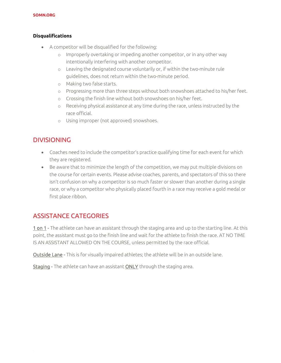#### **Disqualifications**

- A competitor will be disqualified for the following:
	- o Improperly overtaking or impeding another competitor, or in any other way intentionally interfering with another competitor.
	- o Leaving the designated course voluntarily or, if within the two-minute rule guidelines, does not return within the two-minute period.
	- o Making two false starts.
	- o Progressing more than three steps without both snowshoes attached to his/her feet.
	- o Crossing the finish line without both snowshoes on his/her feet.
	- o Receiving physical assistance at any time during the race, unless instructed by the race official.
	- o Using improper (not approved) snowshoes.

## DIVISIONING

- Coaches need to include the competitor's practice qualifying time for each event for which they are registered.
- Be aware that to minimize the length of the competition, we may put multiple divisions on the course for certain events. Please advise coaches, parents, and spectators of this so there isn't confusion on why a competitor is so much faster or slower than another during a single race, or why a competitor who physically placed fourth in a race may receive a gold medal or first place ribbon.

## ASSISTANCE CATEGORIES

1 on 1 - The athlete can have an assistant through the staging area and up to the starting line. At this point, the assistant must go to the finish line and wait for the athlete to finish the race. AT NO TIME IS AN ASSISTANT ALLOWED ON THE COURSE, unless permitted by the race official.

Outside Lane - This is for visually impaired athletes; the athlete will be in an outside lane.

Staging - The athlete can have an assistant ONLY through the staging area.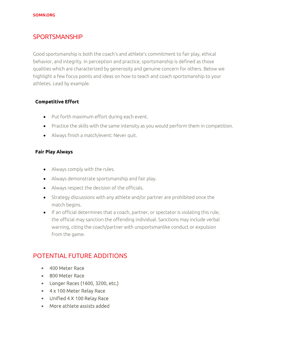## **SPORTSMANSHIP**

Good sportsmanship is both the coach's and athlete's commitment to fair play, ethical behavior, and integrity. In perception and practice, sportsmanship is defined as those qualities which are characterized by generosity and genuine concern for others. Below we highlight a few focus points and ideas on how to teach and coach sportsmanship to your athletes. Lead by example.

#### **Competitive Effort**

- Put forth maximum effort during each event.
- Practice the skills with the same intensity as you would perform them in competition.
- Always finish a match/event: Never quit.

#### **Fair Play Always**

- Always comply with the rules.
- Always demonstrate sportsmanship and fair play.
- Always respect the decision of the officials.
- Strategy discussions with any athlete and/or partner are prohibited once the match begins.
- If an official determines that a coach, partner, or spectator is violating this rule, the official may sanction the offending individual. Sanctions may include verbal warning, citing the coach/partner with unsportsmanlike conduct or expulsion from the game.

## POTENTIAL FUTURE ADDITIONS

- 400 Meter Race
- 800 Meter Race
- Longer Races (1600, 3200, etc.)
- 4 x 100 Meter Relay Race
- Unified 4 X 100 Relay Race
- More athlete assists added